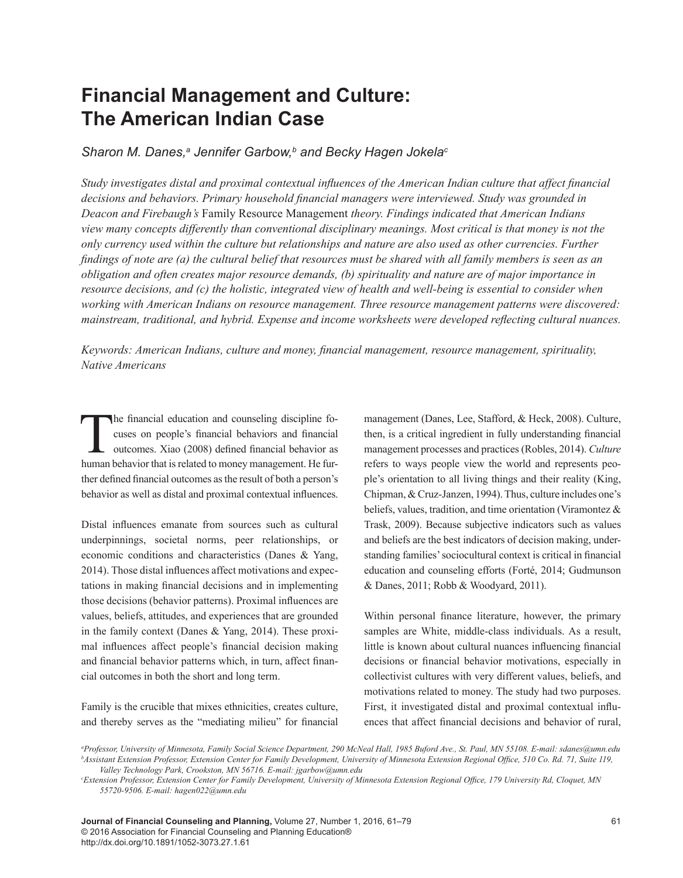# **Financial Management and Culture: The American Indian Case**

*Sharon M. Danes,a Jennifer Garbow,b and Becky Hagen Jokelac*

*Study investigates distal and proximal contextual influences of the American Indian culture that affect financial decisions and behaviors. Primary household financial managers were interviewed. Study was grounded in Deacon and Firebaugh's* Family Resource Management *theory. Findings indicated that American Indians view many concepts differently than conventional disciplinary meanings. Most critical is that money is not the only currency used within the culture but relationships and nature are also used as other currencies. Further findings of note are (a) the cultural belief that resources must be shared with all family members is seen as an obligation and often creates major resource demands, (b) spirituality and nature are of major importance in resource decisions, and (c) the holistic, integrated view of health and well-being is essential to consider when working with American Indians on resource management. Three resource management patterns were discovered: mainstream, traditional, and hybrid. Expense and income worksheets were developed reflecting cultural nuances.*

*Keywords: American Indians, culture and money, financial management, resource management, spirituality, Native Americans*

The financial education and counseling discipline fo-<br>cuses on people's financial behaviors and financial<br>outcomes. Xiao (2008) defined financial behavior as<br>human behavior that is related to money management. He furcuses on people's financial behaviors and financial outcomes. Xiao (2008) defined financial behavior as human behavior that is related to money management. He further defined financial outcomes as the result of both a person's behavior as well as distal and proximal contextual influences.

Distal influences emanate from sources such as cultural underpinnings, societal norms, peer relationships, or economic conditions and characteristics (Danes & Yang, 2014). Those distal influences affect motivations and expectations in making financial decisions and in implementing those decisions (behavior patterns). Proximal influences are values, beliefs, attitudes, and experiences that are grounded in the family context (Danes & Yang, 2014). These proximal influences affect people's financial decision making and financial behavior patterns which, in turn, affect financial outcomes in both the short and long term.

Family is the crucible that mixes ethnicities, creates culture, and thereby serves as the "mediating milieu" for financial management (Danes, Lee, Stafford, & Heck, 2008). Culture, then, is a critical ingredient in fully understanding financial management processes and practices (Robles, 2014). *Culture* refers to ways people view the world and represents people's orientation to all living things and their reality (King, Chipman, & Cruz-Janzen, 1994). Thus, culture includes one's beliefs, values, tradition, and time orientation (Viramontez & Trask, 2009). Because subjective indicators such as values and beliefs are the best indicators of decision making, understanding families' sociocultural context is critical in financial education and counseling efforts (Forté, 2014; Gudmunson & Danes, 2011; Robb & Woodyard, 2011).

Within personal finance literature, however, the primary samples are White, middle-class individuals. As a result, little is known about cultural nuances influencing financial decisions or financial behavior motivations, especially in collectivist cultures with very different values, beliefs, and motivations related to money. The study had two purposes. First, it investigated distal and proximal contextual influences that affect financial decisions and behavior of rural,

*a Professor, University of Minnesota, Family Social Science Department, 290 McNeal Hall, 1985 Buford Ave., St. Paul, MN 55108. E-mail: sdanes@umn.edu b Assistant Extension Professor, Extension Center for Family Development, University of Minnesota Extension Regional Office, 510 Co. Rd. 71, Suite 119, Valley Technology Park, Crookston, MN 56716. E-mail: jgarbow@umn.edu*

**Journal of Financial Counseling and Planning,** Volume 27, Number 1, 2016, 61–79 © 2016 Association for Financial Counseling and Planning Education® http://dx.doi.org/10.1891/1052-3073.27.1.61

*c Extension Professor, Extension Center for Family Development, University of Minnesota Extension Regional Office, 179 University Rd, Cloquet, MN 55720-9506. E-mail: hagen022@umn.edu*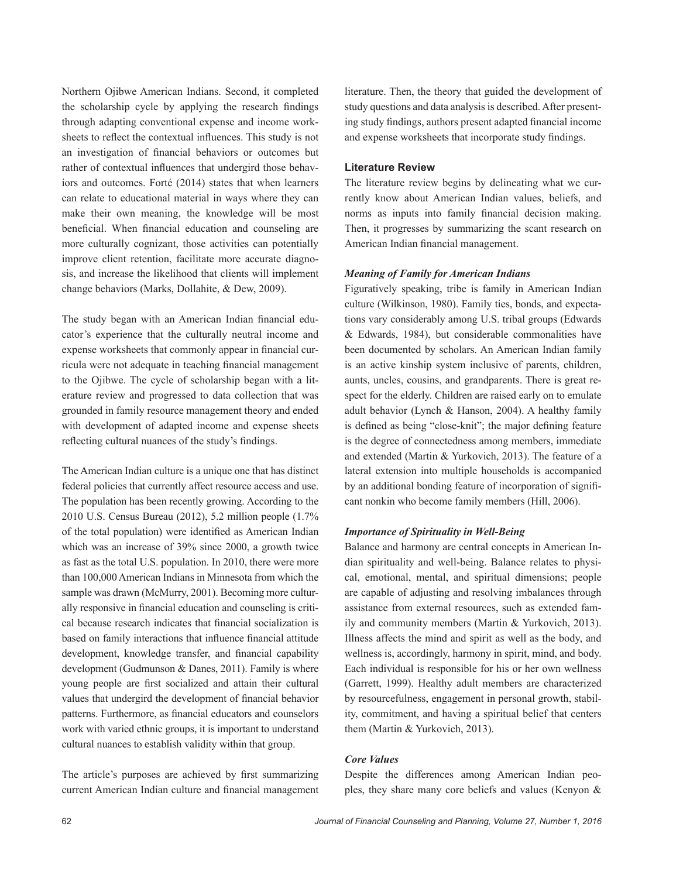Northern Ojibwe American Indians. Second, it completed the scholarship cycle by applying the research findings through adapting conventional expense and income worksheets to reflect the contextual influences. This study is not an investigation of financial behaviors or outcomes but rather of contextual influences that undergird those behaviors and outcomes. Forté (2014) states that when learners can relate to educational material in ways where they can make their own meaning, the knowledge will be most beneficial. When financial education and counseling are more culturally cognizant, those activities can potentially improve client retention, facilitate more accurate diagnosis, and increase the likelihood that clients will implement change behaviors (Marks, Dollahite, & Dew, 2009).

The study began with an American Indian financial educator's experience that the culturally neutral income and expense worksheets that commonly appear in financial curricula were not adequate in teaching financial management to the Ojibwe. The cycle of scholarship began with a literature review and progressed to data collection that was grounded in family resource management theory and ended with development of adapted income and expense sheets reflecting cultural nuances of the study's findings.

The American Indian culture is a unique one that has distinct federal policies that currently affect resource access and use. The population has been recently growing. According to the 2010 U.S. Census Bureau (2012), 5.2 million people (1.7% of the total population) were identified as American Indian which was an increase of 39% since 2000, a growth twice as fast as the total U.S. population. In 2010, there were more than 100,000 American Indians in Minnesota from which the sample was drawn (McMurry, 2001). Becoming more culturally responsive in financial education and counseling is critical because research indicates that financial socialization is based on family interactions that influence financial attitude development, knowledge transfer, and financial capability development (Gudmunson & Danes, 2011). Family is where young people are first socialized and attain their cultural values that undergird the development of financial behavior patterns. Furthermore, as financial educators and counselors work with varied ethnic groups, it is important to understand cultural nuances to establish validity within that group.

The article's purposes are achieved by first summarizing current American Indian culture and financial management literature. Then, the theory that guided the development of study questions and data analysis is described. After presenting study findings, authors present adapted financial income and expense worksheets that incorporate study findings.

## **Literature Review**

The literature review begins by delineating what we currently know about American Indian values, beliefs, and norms as inputs into family financial decision making. Then, it progresses by summarizing the scant research on American Indian financial management.

#### *Meaning of Family for American Indians*

Figuratively speaking, tribe is family in American Indian culture (Wilkinson, 1980). Family ties, bonds, and expectations vary considerably among U.S. tribal groups (Edwards & Edwards, 1984), but considerable commonalities have been documented by scholars. An American Indian family is an active kinship system inclusive of parents, children, aunts, uncles, cousins, and grandparents. There is great respect for the elderly. Children are raised early on to emulate adult behavior (Lynch & Hanson, 2004). A healthy family is defined as being "close-knit"; the major defining feature is the degree of connectedness among members, immediate and extended (Martin & Yurkovich, 2013). The feature of a lateral extension into multiple households is accompanied by an additional bonding feature of incorporation of significant nonkin who become family members (Hill, 2006).

# *Importance of Spirituality in Well-Being*

Balance and harmony are central concepts in American Indian spirituality and well-being. Balance relates to physical, emotional, mental, and spiritual dimensions; people are capable of adjusting and resolving imbalances through assistance from external resources, such as extended family and community members (Martin & Yurkovich, 2013). Illness affects the mind and spirit as well as the body, and wellness is, accordingly, harmony in spirit, mind, and body. Each individual is responsible for his or her own wellness (Garrett, 1999). Healthy adult members are characterized by resourcefulness, engagement in personal growth, stability, commitment, and having a spiritual belief that centers them (Martin & Yurkovich, 2013).

#### *Core Values*

Despite the differences among American Indian peoples, they share many core beliefs and values (Kenyon &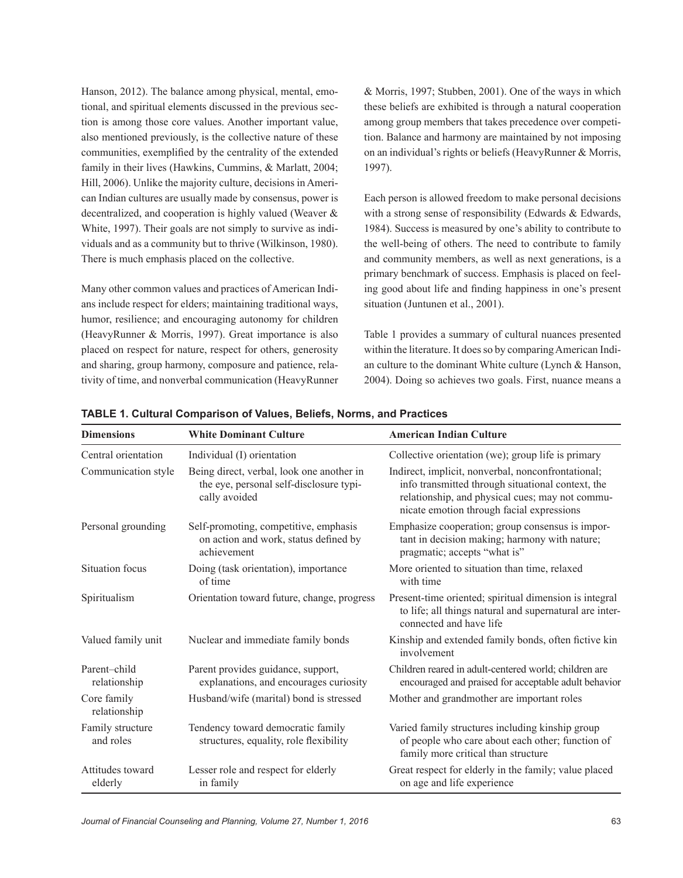Hanson, 2012). The balance among physical, mental, emotional, and spiritual elements discussed in the previous section is among those core values. Another important value, also mentioned previously, is the collective nature of these communities, exemplified by the centrality of the extended family in their lives (Hawkins, Cummins, & Marlatt, 2004; Hill, 2006). Unlike the majority culture, decisions in American Indian cultures are usually made by consensus, power is decentralized, and cooperation is highly valued (Weaver & White, 1997). Their goals are not simply to survive as individuals and as a community but to thrive (Wilkinson, 1980). There is much emphasis placed on the collective.

Many other common values and practices of American Indians include respect for elders; maintaining traditional ways, humor, resilience; and encouraging autonomy for children (HeavyRunner & Morris, 1997). Great importance is also placed on respect for nature, respect for others, generosity and sharing, group harmony, composure and patience, relativity of time, and nonverbal communication (HeavyRunner & Morris, 1997; Stubben, 2001). One of the ways in which these beliefs are exhibited is through a natural cooperation among group members that takes precedence over competition. Balance and harmony are maintained by not imposing on an individual's rights or beliefs (HeavyRunner & Morris, 1997).

Each person is allowed freedom to make personal decisions with a strong sense of responsibility (Edwards  $&$  Edwards, 1984). Success is measured by one's ability to contribute to the well-being of others. The need to contribute to family and community members, as well as next generations, is a primary benchmark of success. Emphasis is placed on feeling good about life and finding happiness in one's present situation (Juntunen et al., 2001).

Table 1 provides a summary of cultural nuances presented within the literature. It does so by comparing American Indian culture to the dominant White culture (Lynch & Hanson, 2004). Doing so achieves two goals. First, nuance means a

| <b>Dimensions</b>             | <b>White Dominant Culture</b>                                                                         | <b>American Indian Culture</b>                                                                                                                                                                          |
|-------------------------------|-------------------------------------------------------------------------------------------------------|---------------------------------------------------------------------------------------------------------------------------------------------------------------------------------------------------------|
| Central orientation           | Individual (I) orientation                                                                            | Collective orientation (we); group life is primary                                                                                                                                                      |
| Communication style           | Being direct, verbal, look one another in<br>the eye, personal self-disclosure typi-<br>cally avoided | Indirect, implicit, nonverbal, nonconfrontational;<br>info transmitted through situational context, the<br>relationship, and physical cues; may not commu-<br>nicate emotion through facial expressions |
| Personal grounding            | Self-promoting, competitive, emphasis<br>on action and work, status defined by<br>achievement         | Emphasize cooperation; group consensus is impor-<br>tant in decision making; harmony with nature;<br>pragmatic; accepts "what is"                                                                       |
| Situation focus               | Doing (task orientation), importance<br>of time                                                       | More oriented to situation than time, relaxed<br>with time                                                                                                                                              |
| Spiritualism                  | Orientation toward future, change, progress                                                           | Present-time oriented; spiritual dimension is integral<br>to life; all things natural and supernatural are inter-<br>connected and have life                                                            |
| Valued family unit            | Nuclear and immediate family bonds                                                                    | Kinship and extended family bonds, often fictive kin<br>involvement                                                                                                                                     |
| Parent-child<br>relationship  | Parent provides guidance, support,<br>explanations, and encourages curiosity                          | Children reared in adult-centered world; children are<br>encouraged and praised for acceptable adult behavior                                                                                           |
| Core family<br>relationship   | Husband/wife (marital) bond is stressed                                                               | Mother and grandmother are important roles                                                                                                                                                              |
| Family structure<br>and roles | Tendency toward democratic family<br>structures, equality, role flexibility                           | Varied family structures including kinship group<br>of people who care about each other; function of<br>family more critical than structure                                                             |
| Attitudes toward<br>elderly   | Lesser role and respect for elderly<br>in family                                                      | Great respect for elderly in the family; value placed<br>on age and life experience                                                                                                                     |

**TABLE 1. Cultural Comparison of Values, Beliefs, Norms, and Practices**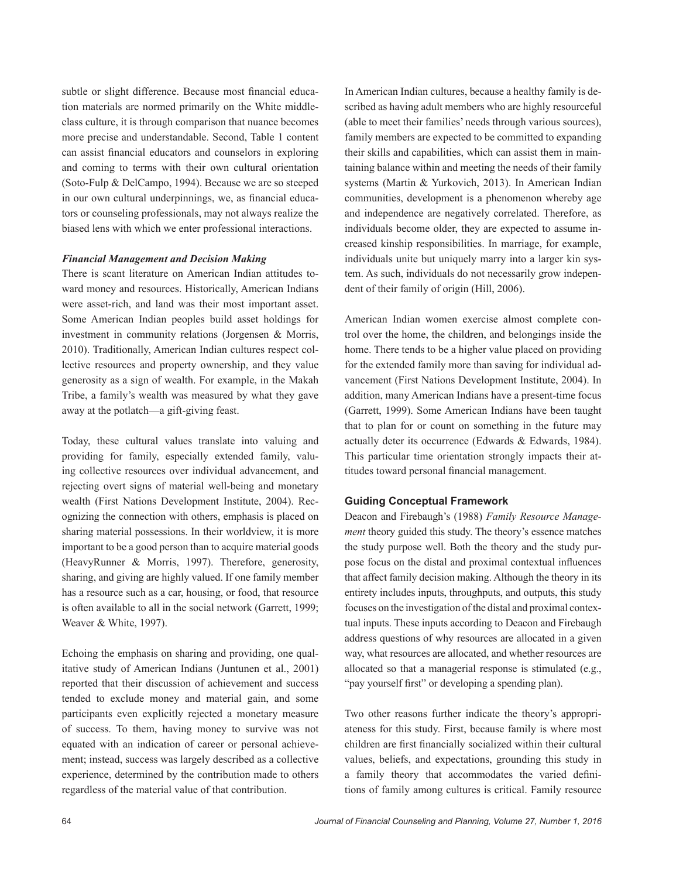subtle or slight difference. Because most financial education materials are normed primarily on the White middleclass culture, it is through comparison that nuance becomes more precise and understandable. Second, Table 1 content can assist financial educators and counselors in exploring and coming to terms with their own cultural orientation (Soto-Fulp & DelCampo, 1994). Because we are so steeped in our own cultural underpinnings, we, as financial educators or counseling professionals, may not always realize the biased lens with which we enter professional interactions.

#### *Financial Management and Decision Making*

There is scant literature on American Indian attitudes toward money and resources. Historically, American Indians were asset-rich, and land was their most important asset. Some American Indian peoples build asset holdings for investment in community relations (Jorgensen & Morris, 2010). Traditionally, American Indian cultures respect collective resources and property ownership, and they value generosity as a sign of wealth. For example, in the Makah Tribe, a family's wealth was measured by what they gave away at the potlatch—a gift-giving feast.

Today, these cultural values translate into valuing and providing for family, especially extended family, valuing collective resources over individual advancement, and rejecting overt signs of material well-being and monetary wealth (First Nations Development Institute, 2004). Recognizing the connection with others, emphasis is placed on sharing material possessions. In their worldview, it is more important to be a good person than to acquire material goods (HeavyRunner & Morris, 1997). Therefore, generosity, sharing, and giving are highly valued. If one family member has a resource such as a car, housing, or food, that resource is often available to all in the social network (Garrett, 1999; Weaver & White, 1997).

Echoing the emphasis on sharing and providing, one qualitative study of American Indians (Juntunen et al., 2001) reported that their discussion of achievement and success tended to exclude money and material gain, and some participants even explicitly rejected a monetary measure of success. To them, having money to survive was not equated with an indication of career or personal achievement; instead, success was largely described as a collective experience, determined by the contribution made to others regardless of the material value of that contribution.

In American Indian cultures, because a healthy family is described as having adult members who are highly resourceful (able to meet their families' needs through various sources), family members are expected to be committed to expanding their skills and capabilities, which can assist them in maintaining balance within and meeting the needs of their family systems (Martin & Yurkovich, 2013). In American Indian communities, development is a phenomenon whereby age and independence are negatively correlated. Therefore, as individuals become older, they are expected to assume increased kinship responsibilities. In marriage, for example, individuals unite but uniquely marry into a larger kin system. As such, individuals do not necessarily grow independent of their family of origin (Hill, 2006).

American Indian women exercise almost complete control over the home, the children, and belongings inside the home. There tends to be a higher value placed on providing for the extended family more than saving for individual advancement (First Nations Development Institute, 2004). In addition, many American Indians have a present-time focus (Garrett, 1999). Some American Indians have been taught that to plan for or count on something in the future may actually deter its occurrence (Edwards & Edwards, 1984). This particular time orientation strongly impacts their attitudes toward personal financial management.

#### **Guiding Conceptual Framework**

Deacon and Firebaugh's (1988) *Family Resource Management* theory guided this study. The theory's essence matches the study purpose well. Both the theory and the study purpose focus on the distal and proximal contextual influences that affect family decision making. Although the theory in its entirety includes inputs, throughputs, and outputs, this study focuses on the investigation of the distal and proximal contextual inputs. These inputs according to Deacon and Firebaugh address questions of why resources are allocated in a given way, what resources are allocated, and whether resources are allocated so that a managerial response is stimulated (e.g., "pay yourself first" or developing a spending plan).

Two other reasons further indicate the theory's appropriateness for this study. First, because family is where most children are first financially socialized within their cultural values, beliefs, and expectations, grounding this study in a family theory that accommodates the varied definitions of family among cultures is critical. Family resource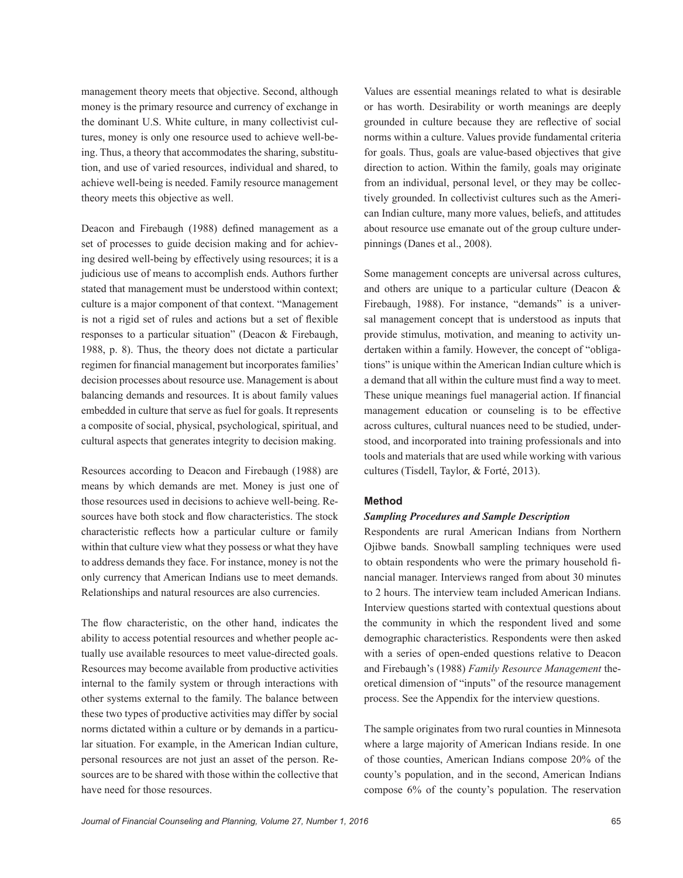management theory meets that objective. Second, although money is the primary resource and currency of exchange in the dominant U.S. White culture, in many collectivist cultures, money is only one resource used to achieve well-being. Thus, a theory that accommodates the sharing, substitution, and use of varied resources, individual and shared, to achieve well-being is needed. Family resource management theory meets this objective as well.

Deacon and Firebaugh (1988) defined management as a set of processes to guide decision making and for achieving desired well-being by effectively using resources; it is a judicious use of means to accomplish ends. Authors further stated that management must be understood within context; culture is a major component of that context. "Management is not a rigid set of rules and actions but a set of flexible responses to a particular situation" (Deacon & Firebaugh, 1988, p. 8). Thus, the theory does not dictate a particular regimen for financial management but incorporates families' decision processes about resource use. Management is about balancing demands and resources. It is about family values embedded in culture that serve as fuel for goals. It represents a composite of social, physical, psychological, spiritual, and cultural aspects that generates integrity to decision making.

Resources according to Deacon and Firebaugh (1988) are means by which demands are met. Money is just one of those resources used in decisions to achieve well-being. Resources have both stock and flow characteristics. The stock characteristic reflects how a particular culture or family within that culture view what they possess or what they have to address demands they face. For instance, money is not the only currency that American Indians use to meet demands. Relationships and natural resources are also currencies.

The flow characteristic, on the other hand, indicates the ability to access potential resources and whether people actually use available resources to meet value-directed goals. Resources may become available from productive activities internal to the family system or through interactions with other systems external to the family. The balance between these two types of productive activities may differ by social norms dictated within a culture or by demands in a particular situation. For example, in the American Indian culture, personal resources are not just an asset of the person. Resources are to be shared with those within the collective that have need for those resources.

Values are essential meanings related to what is desirable or has worth. Desirability or worth meanings are deeply grounded in culture because they are reflective of social norms within a culture. Values provide fundamental criteria for goals. Thus, goals are value-based objectives that give direction to action. Within the family, goals may originate from an individual, personal level, or they may be collectively grounded. In collectivist cultures such as the American Indian culture, many more values, beliefs, and attitudes about resource use emanate out of the group culture underpinnings (Danes et al., 2008).

Some management concepts are universal across cultures, and others are unique to a particular culture (Deacon & Firebaugh, 1988). For instance, "demands" is a universal management concept that is understood as inputs that provide stimulus, motivation, and meaning to activity undertaken within a family. However, the concept of "obligations" is unique within the American Indian culture which is a demand that all within the culture must find a way to meet. These unique meanings fuel managerial action. If financial management education or counseling is to be effective across cultures, cultural nuances need to be studied, understood, and incorporated into training professionals and into tools and materials that are used while working with various cultures (Tisdell, Taylor, & Forté, 2013).

#### **Method**

#### *Sampling Procedures and Sample Description*

Respondents are rural American Indians from Northern Ojibwe bands. Snowball sampling techniques were used to obtain respondents who were the primary household financial manager. Interviews ranged from about 30 minutes to 2 hours. The interview team included American Indians. Interview questions started with contextual questions about the community in which the respondent lived and some demographic characteristics. Respondents were then asked with a series of open-ended questions relative to Deacon and Firebaugh's (1988) *Family Resource Management* theoretical dimension of "inputs" of the resource management process. See the Appendix for the interview questions.

The sample originates from two rural counties in Minnesota where a large majority of American Indians reside. In one of those counties, American Indians compose 20% of the county's population, and in the second, American Indians compose 6% of the county's population. The reservation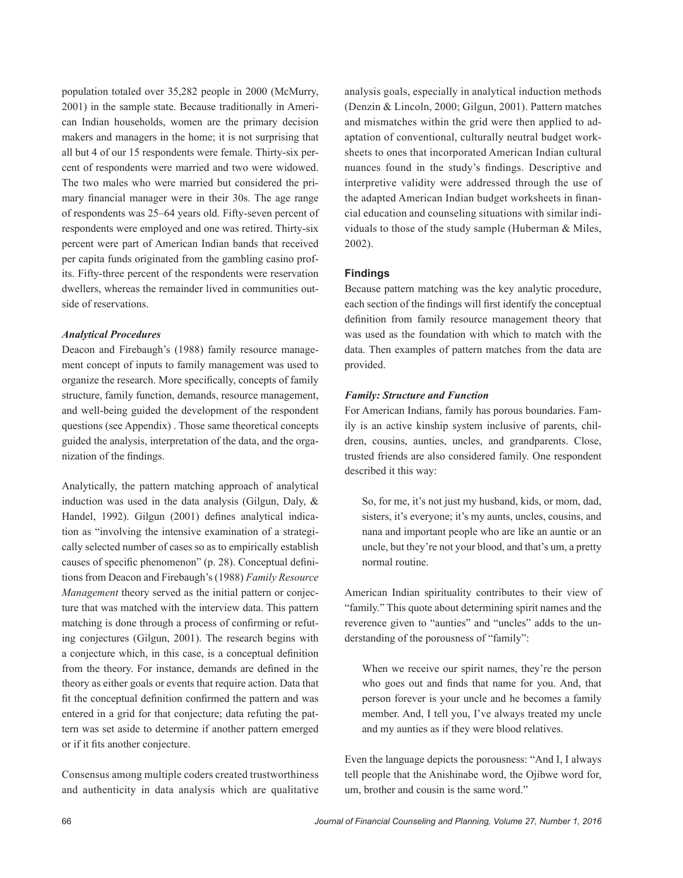population totaled over 35,282 people in 2000 (McMurry, 2001) in the sample state. Because traditionally in American Indian households, women are the primary decision makers and managers in the home; it is not surprising that all but 4 of our 15 respondents were female. Thirty-six percent of respondents were married and two were widowed. The two males who were married but considered the primary financial manager were in their 30s. The age range of respondents was 25–64 years old. Fifty-seven percent of respondents were employed and one was retired. Thirty-six percent were part of American Indian bands that received per capita funds originated from the gambling casino profits. Fifty-three percent of the respondents were reservation dwellers, whereas the remainder lived in communities outside of reservations.

# *Analytical Procedures*

Deacon and Firebaugh's (1988) family resource management concept of inputs to family management was used to organize the research. More specifically, concepts of family structure, family function, demands, resource management, and well-being guided the development of the respondent questions (see Appendix) . Those same theoretical concepts guided the analysis, interpretation of the data, and the organization of the findings.

Analytically, the pattern matching approach of analytical induction was used in the data analysis (Gilgun, Daly, & Handel, 1992). Gilgun (2001) defines analytical indication as "involving the intensive examination of a strategically selected number of cases so as to empirically establish causes of specific phenomenon" (p. 28). Conceptual definitions from Deacon and Firebaugh's (1988) *Family Resource Management* theory served as the initial pattern or conjecture that was matched with the interview data. This pattern matching is done through a process of confirming or refuting conjectures (Gilgun, 2001). The research begins with a conjecture which, in this case, is a conceptual definition from the theory. For instance, demands are defined in the theory as either goals or events that require action. Data that fit the conceptual definition confirmed the pattern and was entered in a grid for that conjecture; data refuting the pattern was set aside to determine if another pattern emerged or if it fits another conjecture.

Consensus among multiple coders created trustworthiness and authenticity in data analysis which are qualitative

analysis goals, especially in analytical induction methods (Denzin & Lincoln, 2000; Gilgun, 2001). Pattern matches and mismatches within the grid were then applied to adaptation of conventional, culturally neutral budget worksheets to ones that incorporated American Indian cultural nuances found in the study's findings. Descriptive and interpretive validity were addressed through the use of the adapted American Indian budget worksheets in financial education and counseling situations with similar individuals to those of the study sample (Huberman & Miles, 2002).

#### **Findings**

Because pattern matching was the key analytic procedure, each section of the findings will first identify the conceptual definition from family resource management theory that was used as the foundation with which to match with the data. Then examples of pattern matches from the data are provided.

## *Family: Structure and Function*

For American Indians, family has porous boundaries. Family is an active kinship system inclusive of parents, children, cousins, aunties, uncles, and grandparents. Close, trusted friends are also considered family. One respondent described it this way:

So, for me, it's not just my husband, kids, or mom, dad, sisters, it's everyone; it's my aunts, uncles, cousins, and nana and important people who are like an auntie or an uncle, but they're not your blood, and that's um, a pretty normal routine.

American Indian spirituality contributes to their view of "family." This quote about determining spirit names and the reverence given to "aunties" and "uncles" adds to the understanding of the porousness of "family":

When we receive our spirit names, they're the person who goes out and finds that name for you. And, that person forever is your uncle and he becomes a family member. And, I tell you, I've always treated my uncle and my aunties as if they were blood relatives.

Even the language depicts the porousness: "And I, I always tell people that the Anishinabe word, the Ojibwe word for, um, brother and cousin is the same word."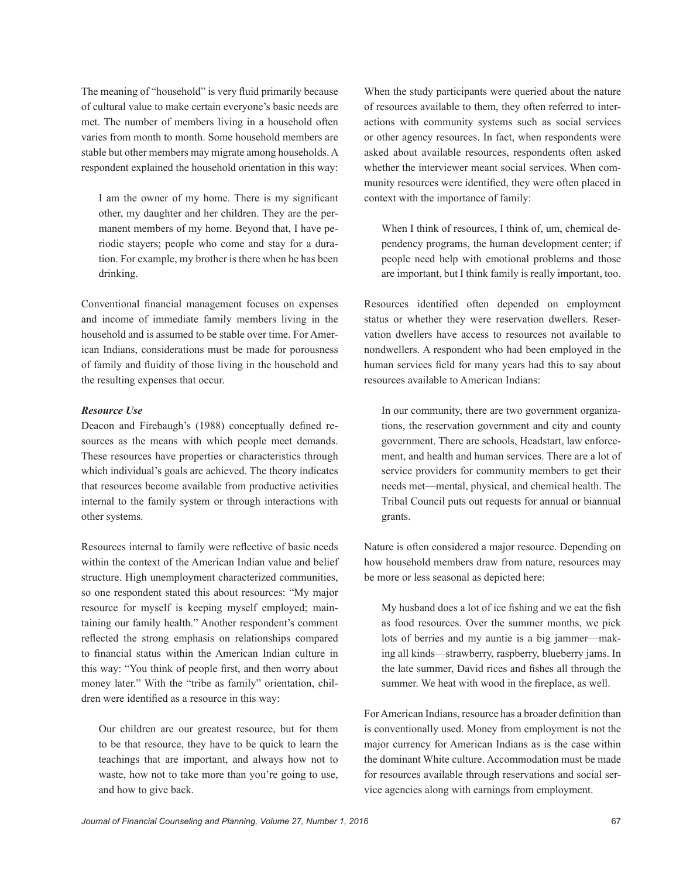The meaning of "household" is very fluid primarily because of cultural value to make certain everyone's basic needs are met. The number of members living in a household often varies from month to month. Some household members are stable but other members may migrate among households. A respondent explained the household orientation in this way:

I am the owner of my home. There is my significant other, my daughter and her children. They are the permanent members of my home. Beyond that, I have periodic stayers; people who come and stay for a duration. For example, my brother is there when he has been drinking.

Conventional financial management focuses on expenses and income of immediate family members living in the household and is assumed to be stable over time. For American Indians, considerations must be made for porousness of family and fluidity of those living in the household and the resulting expenses that occur.

# *Resource Use*

Deacon and Firebaugh's (1988) conceptually defined resources as the means with which people meet demands. These resources have properties or characteristics through which individual's goals are achieved. The theory indicates that resources become available from productive activities internal to the family system or through interactions with other systems.

Resources internal to family were reflective of basic needs within the context of the American Indian value and belief structure. High unemployment characterized communities, so one respondent stated this about resources: "My major resource for myself is keeping myself employed; maintaining our family health." Another respondent's comment reflected the strong emphasis on relationships compared to financial status within the American Indian culture in this way: "You think of people first, and then worry about money later." With the "tribe as family" orientation, children were identified as a resource in this way:

Our children are our greatest resource, but for them to be that resource, they have to be quick to learn the teachings that are important, and always how not to waste, how not to take more than you're going to use, and how to give back.

When the study participants were queried about the nature of resources available to them, they often referred to interactions with community systems such as social services or other agency resources. In fact, when respondents were asked about available resources, respondents often asked whether the interviewer meant social services. When community resources were identified, they were often placed in context with the importance of family:

When I think of resources, I think of, um, chemical dependency programs, the human development center; if people need help with emotional problems and those are important, but I think family is really important, too.

Resources identified often depended on employment status or whether they were reservation dwellers. Reservation dwellers have access to resources not available to nondwellers. A respondent who had been employed in the human services field for many years had this to say about resources available to American Indians:

In our community, there are two government organizations, the reservation government and city and county government. There are schools, Headstart, law enforcement, and health and human services. There are a lot of service providers for community members to get their needs met—mental, physical, and chemical health. The Tribal Council puts out requests for annual or biannual grants.

Nature is often considered a major resource. Depending on how household members draw from nature, resources may be more or less seasonal as depicted here:

My husband does a lot of ice fishing and we eat the fish as food resources. Over the summer months, we pick lots of berries and my auntie is a big jammer—making all kinds—strawberry, raspberry, blueberry jams. In the late summer, David rices and fishes all through the summer. We heat with wood in the fireplace, as well.

For American Indians, resource has a broader definition than is conventionally used. Money from employment is not the major currency for American Indians as is the case within the dominant White culture. Accommodation must be made for resources available through reservations and social service agencies along with earnings from employment.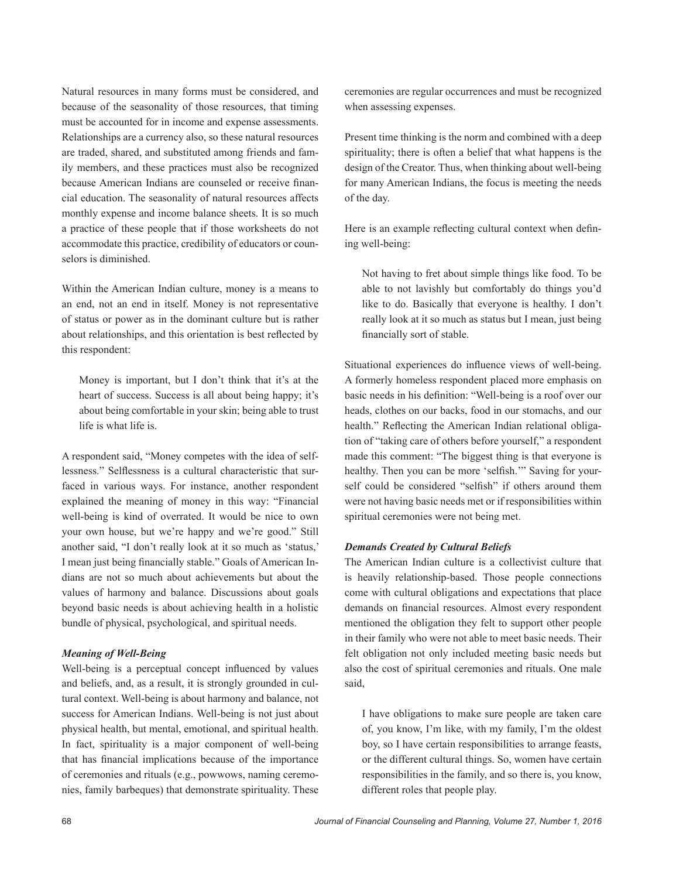Natural resources in many forms must be considered, and because of the seasonality of those resources, that timing must be accounted for in income and expense assessments. Relationships are a currency also, so these natural resources are traded, shared, and substituted among friends and family members, and these practices must also be recognized because American Indians are counseled or receive financial education. The seasonality of natural resources affects monthly expense and income balance sheets. It is so much a practice of these people that if those worksheets do not accommodate this practice, credibility of educators or counselors is diminished.

Within the American Indian culture, money is a means to an end, not an end in itself. Money is not representative of status or power as in the dominant culture but is rather about relationships, and this orientation is best reflected by this respondent:

Money is important, but I don't think that it's at the heart of success. Success is all about being happy; it's about being comfortable in your skin; being able to trust life is what life is.

A respondent said, "Money competes with the idea of selflessness." Selflessness is a cultural characteristic that surfaced in various ways. For instance, another respondent explained the meaning of money in this way: "Financial well-being is kind of overrated. It would be nice to own your own house, but we're happy and we're good." Still another said, "I don't really look at it so much as 'status,' I mean just being financially stable." Goals of American Indians are not so much about achievements but about the values of harmony and balance. Discussions about goals beyond basic needs is about achieving health in a holistic bundle of physical, psychological, and spiritual needs.

#### *Meaning of Well-Being*

Well-being is a perceptual concept influenced by values and beliefs, and, as a result, it is strongly grounded in cultural context. Well-being is about harmony and balance, not success for American Indians. Well-being is not just about physical health, but mental, emotional, and spiritual health. In fact, spirituality is a major component of well-being that has financial implications because of the importance of ceremonies and rituals (e.g., powwows, naming ceremonies, family barbeques) that demonstrate spirituality. These

ceremonies are regular occurrences and must be recognized when assessing expenses.

Present time thinking is the norm and combined with a deep spirituality; there is often a belief that what happens is the design of the Creator. Thus, when thinking about well-being for many American Indians, the focus is meeting the needs of the day.

Here is an example reflecting cultural context when defining well-being:

Not having to fret about simple things like food. To be able to not lavishly but comfortably do things you'd like to do. Basically that everyone is healthy. I don't really look at it so much as status but I mean, just being financially sort of stable.

Situational experiences do influence views of well-being. A formerly homeless respondent placed more emphasis on basic needs in his definition: "Well-being is a roof over our heads, clothes on our backs, food in our stomachs, and our health." Reflecting the American Indian relational obligation of "taking care of others before yourself," a respondent made this comment: "The biggest thing is that everyone is healthy. Then you can be more 'selfish.'" Saving for yourself could be considered "selfish" if others around them were not having basic needs met or if responsibilities within spiritual ceremonies were not being met.

#### *Demands Created by Cultural Beliefs*

The American Indian culture is a collectivist culture that is heavily relationship-based. Those people connections come with cultural obligations and expectations that place demands on financial resources. Almost every respondent mentioned the obligation they felt to support other people in their family who were not able to meet basic needs. Their felt obligation not only included meeting basic needs but also the cost of spiritual ceremonies and rituals. One male said,

I have obligations to make sure people are taken care of, you know, I'm like, with my family, I'm the oldest boy, so I have certain responsibilities to arrange feasts, or the different cultural things. So, women have certain responsibilities in the family, and so there is, you know, different roles that people play.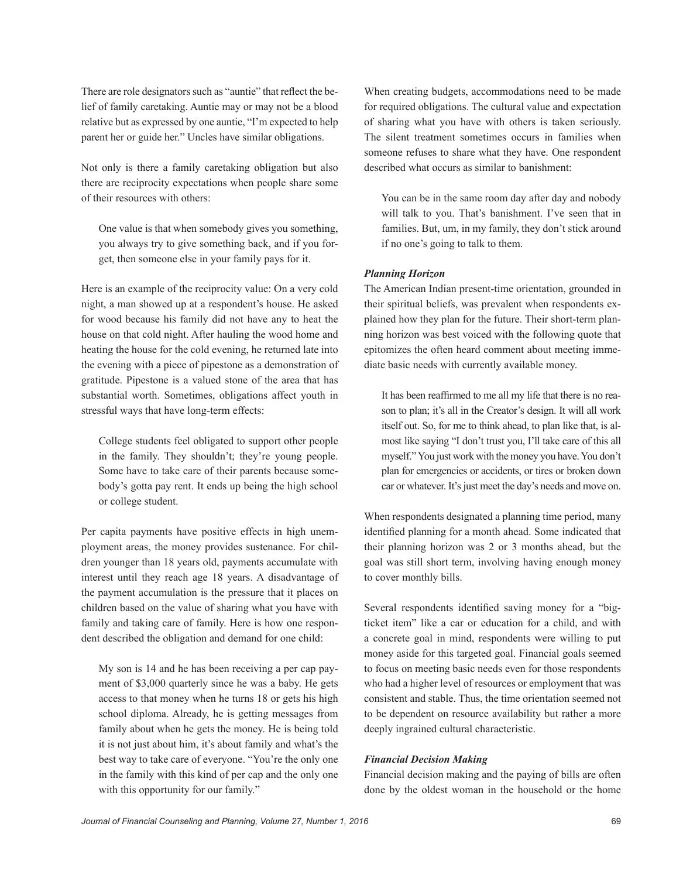There are role designators such as "auntie" that reflect the belief of family caretaking. Auntie may or may not be a blood relative but as expressed by one auntie, "I'm expected to help parent her or guide her." Uncles have similar obligations.

Not only is there a family caretaking obligation but also there are reciprocity expectations when people share some of their resources with others:

One value is that when somebody gives you something, you always try to give something back, and if you forget, then someone else in your family pays for it.

Here is an example of the reciprocity value: On a very cold night, a man showed up at a respondent's house. He asked for wood because his family did not have any to heat the house on that cold night. After hauling the wood home and heating the house for the cold evening, he returned late into the evening with a piece of pipestone as a demonstration of gratitude. Pipestone is a valued stone of the area that has substantial worth. Sometimes, obligations affect youth in stressful ways that have long-term effects:

College students feel obligated to support other people in the family. They shouldn't; they're young people. Some have to take care of their parents because somebody's gotta pay rent. It ends up being the high school or college student.

Per capita payments have positive effects in high unemployment areas, the money provides sustenance. For children younger than 18 years old, payments accumulate with interest until they reach age 18 years. A disadvantage of the payment accumulation is the pressure that it places on children based on the value of sharing what you have with family and taking care of family. Here is how one respondent described the obligation and demand for one child:

My son is 14 and he has been receiving a per cap payment of \$3,000 quarterly since he was a baby. He gets access to that money when he turns 18 or gets his high school diploma. Already, he is getting messages from family about when he gets the money. He is being told it is not just about him, it's about family and what's the best way to take care of everyone. "You're the only one in the family with this kind of per cap and the only one with this opportunity for our family."

When creating budgets, accommodations need to be made for required obligations. The cultural value and expectation of sharing what you have with others is taken seriously. The silent treatment sometimes occurs in families when someone refuses to share what they have. One respondent described what occurs as similar to banishment:

You can be in the same room day after day and nobody will talk to you. That's banishment. I've seen that in families. But, um, in my family, they don't stick around if no one's going to talk to them.

# *Planning Horizon*

The American Indian present-time orientation, grounded in their spiritual beliefs, was prevalent when respondents explained how they plan for the future. Their short-term planning horizon was best voiced with the following quote that epitomizes the often heard comment about meeting immediate basic needs with currently available money.

It has been reaffirmed to me all my life that there is no reason to plan; it's all in the Creator's design. It will all work itself out. So, for me to think ahead, to plan like that, is almost like saying "I don't trust you, I'll take care of this all myself." You just work with the money you have. You don't plan for emergencies or accidents, or tires or broken down car or whatever. It's just meet the day's needs and move on.

When respondents designated a planning time period, many identified planning for a month ahead. Some indicated that their planning horizon was 2 or 3 months ahead, but the goal was still short term, involving having enough money to cover monthly bills.

Several respondents identified saving money for a "bigticket item" like a car or education for a child, and with a concrete goal in mind, respondents were willing to put money aside for this targeted goal. Financial goals seemed to focus on meeting basic needs even for those respondents who had a higher level of resources or employment that was consistent and stable. Thus, the time orientation seemed not to be dependent on resource availability but rather a more deeply ingrained cultural characteristic.

#### *Financial Decision Making*

Financial decision making and the paying of bills are often done by the oldest woman in the household or the home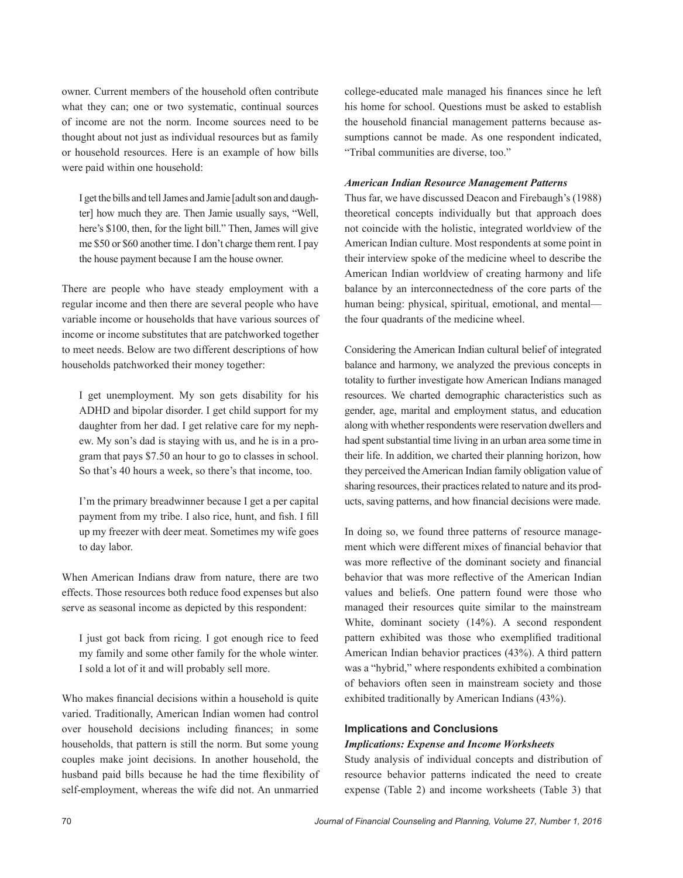owner. Current members of the household often contribute what they can; one or two systematic, continual sources of income are not the norm. Income sources need to be thought about not just as individual resources but as family or household resources. Here is an example of how bills were paid within one household:

I get the bills and tell James and Jamie [adult son and daughter] how much they are. Then Jamie usually says, "Well, here's \$100, then, for the light bill." Then, James will give me \$50 or \$60 another time. I don't charge them rent. I pay the house payment because I am the house owner.

There are people who have steady employment with a regular income and then there are several people who have variable income or households that have various sources of income or income substitutes that are patchworked together to meet needs. Below are two different descriptions of how households patchworked their money together:

I get unemployment. My son gets disability for his ADHD and bipolar disorder. I get child support for my daughter from her dad. I get relative care for my nephew. My son's dad is staying with us, and he is in a program that pays \$7.50 an hour to go to classes in school. So that's 40 hours a week, so there's that income, too.

I'm the primary breadwinner because I get a per capital payment from my tribe. I also rice, hunt, and fish. I fill up my freezer with deer meat. Sometimes my wife goes to day labor.

When American Indians draw from nature, there are two effects. Those resources both reduce food expenses but also serve as seasonal income as depicted by this respondent:

I just got back from ricing. I got enough rice to feed my family and some other family for the whole winter. I sold a lot of it and will probably sell more.

Who makes financial decisions within a household is quite varied. Traditionally, American Indian women had control over household decisions including finances; in some households, that pattern is still the norm. But some young couples make joint decisions. In another household, the husband paid bills because he had the time flexibility of self-employment, whereas the wife did not. An unmarried

college-educated male managed his finances since he left his home for school. Questions must be asked to establish the household financial management patterns because assumptions cannot be made. As one respondent indicated, "Tribal communities are diverse, too."

# *American Indian Resource Management Patterns*

Thus far, we have discussed Deacon and Firebaugh's (1988) theoretical concepts individually but that approach does not coincide with the holistic, integrated worldview of the American Indian culture. Most respondents at some point in their interview spoke of the medicine wheel to describe the American Indian worldview of creating harmony and life balance by an interconnectedness of the core parts of the human being: physical, spiritual, emotional, and mental the four quadrants of the medicine wheel.

Considering the American Indian cultural belief of integrated balance and harmony, we analyzed the previous concepts in totality to further investigate how American Indians managed resources. We charted demographic characteristics such as gender, age, marital and employment status, and education along with whether respondents were reservation dwellers and had spent substantial time living in an urban area some time in their life. In addition, we charted their planning horizon, how they perceived the American Indian family obligation value of sharing resources, their practices related to nature and its products, saving patterns, and how financial decisions were made.

In doing so, we found three patterns of resource management which were different mixes of financial behavior that was more reflective of the dominant society and financial behavior that was more reflective of the American Indian values and beliefs. One pattern found were those who managed their resources quite similar to the mainstream White, dominant society (14%). A second respondent pattern exhibited was those who exemplified traditional American Indian behavior practices (43%). A third pattern was a "hybrid," where respondents exhibited a combination of behaviors often seen in mainstream society and those exhibited traditionally by American Indians (43%).

#### **Implications and Conclusions**

# *Implications: Expense and Income Worksheets*

Study analysis of individual concepts and distribution of resource behavior patterns indicated the need to create expense (Table 2) and income worksheets (Table 3) that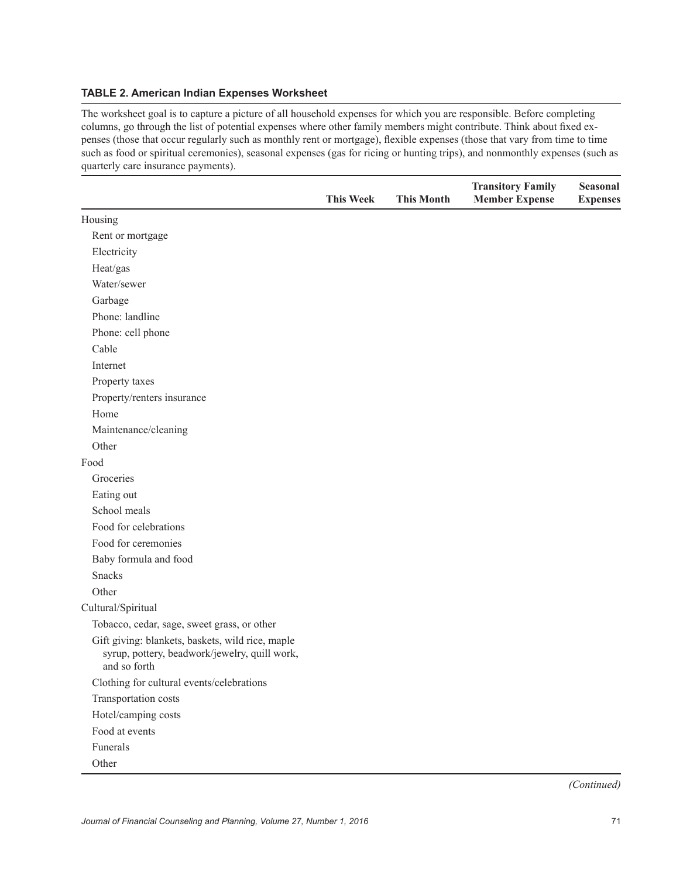# **TABLE 2. American Indian Expenses Worksheet**

The worksheet goal is to capture a picture of all household expenses for which you are responsible. Before completing columns, go through the list of potential expenses where other family members might contribute. Think about fixed expenses (those that occur regularly such as monthly rent or mortgage), flexible expenses (those that vary from time to time such as food or spiritual ceremonies), seasonal expenses (gas for ricing or hunting trips), and nonmonthly expenses (such as quarterly care insurance payments).

|                                                                                                                   | <b>This Week</b> | <b>This Month</b> | <b>Transitory Family</b><br><b>Member Expense</b> | Seasonal<br><b>Expenses</b> |
|-------------------------------------------------------------------------------------------------------------------|------------------|-------------------|---------------------------------------------------|-----------------------------|
| Housing                                                                                                           |                  |                   |                                                   |                             |
| Rent or mortgage                                                                                                  |                  |                   |                                                   |                             |
| Electricity                                                                                                       |                  |                   |                                                   |                             |
| Heat/gas                                                                                                          |                  |                   |                                                   |                             |
| Water/sewer                                                                                                       |                  |                   |                                                   |                             |
| Garbage                                                                                                           |                  |                   |                                                   |                             |
| Phone: landline                                                                                                   |                  |                   |                                                   |                             |
| Phone: cell phone                                                                                                 |                  |                   |                                                   |                             |
| Cable                                                                                                             |                  |                   |                                                   |                             |
| Internet                                                                                                          |                  |                   |                                                   |                             |
| Property taxes                                                                                                    |                  |                   |                                                   |                             |
| Property/renters insurance                                                                                        |                  |                   |                                                   |                             |
| Home                                                                                                              |                  |                   |                                                   |                             |
| Maintenance/cleaning                                                                                              |                  |                   |                                                   |                             |
| Other                                                                                                             |                  |                   |                                                   |                             |
| Food                                                                                                              |                  |                   |                                                   |                             |
| Groceries                                                                                                         |                  |                   |                                                   |                             |
| Eating out                                                                                                        |                  |                   |                                                   |                             |
| School meals                                                                                                      |                  |                   |                                                   |                             |
| Food for celebrations                                                                                             |                  |                   |                                                   |                             |
| Food for ceremonies                                                                                               |                  |                   |                                                   |                             |
| Baby formula and food                                                                                             |                  |                   |                                                   |                             |
| <b>Snacks</b>                                                                                                     |                  |                   |                                                   |                             |
| Other                                                                                                             |                  |                   |                                                   |                             |
| Cultural/Spiritual                                                                                                |                  |                   |                                                   |                             |
| Tobacco, cedar, sage, sweet grass, or other                                                                       |                  |                   |                                                   |                             |
| Gift giving: blankets, baskets, wild rice, maple<br>syrup, pottery, beadwork/jewelry, quill work,<br>and so forth |                  |                   |                                                   |                             |
| Clothing for cultural events/celebrations                                                                         |                  |                   |                                                   |                             |
| Transportation costs                                                                                              |                  |                   |                                                   |                             |
| Hotel/camping costs                                                                                               |                  |                   |                                                   |                             |
| Food at events                                                                                                    |                  |                   |                                                   |                             |
| Funerals                                                                                                          |                  |                   |                                                   |                             |
| Other                                                                                                             |                  |                   |                                                   |                             |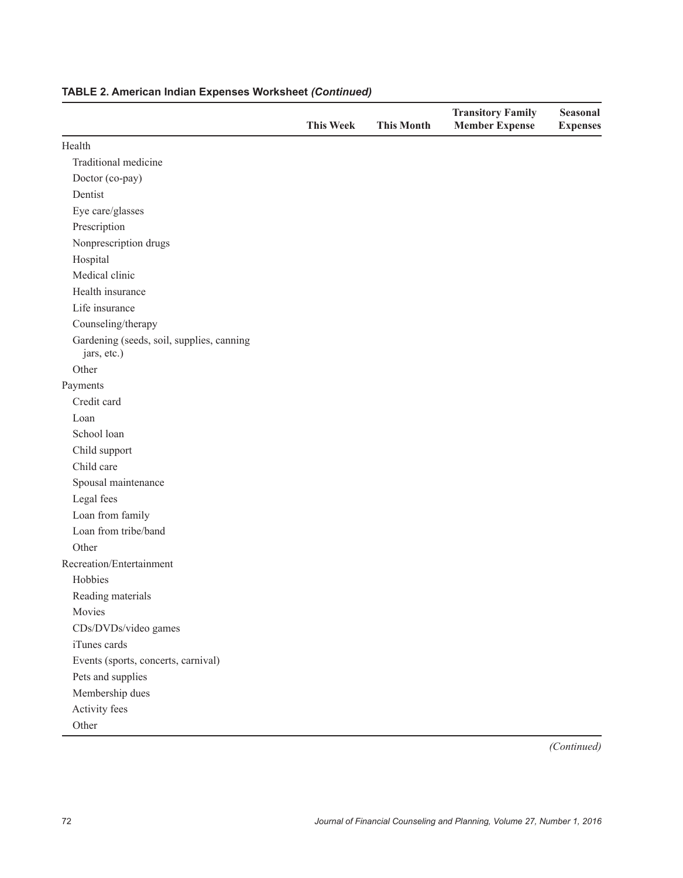|                                                          | <b>This Week</b> | <b>This Month</b> | <b>Transitory Family</b><br><b>Member Expense</b> | <b>Seasonal</b><br><b>Expenses</b> |
|----------------------------------------------------------|------------------|-------------------|---------------------------------------------------|------------------------------------|
| Health                                                   |                  |                   |                                                   |                                    |
| Traditional medicine                                     |                  |                   |                                                   |                                    |
| Doctor (co-pay)                                          |                  |                   |                                                   |                                    |
| Dentist                                                  |                  |                   |                                                   |                                    |
| Eye care/glasses                                         |                  |                   |                                                   |                                    |
| Prescription                                             |                  |                   |                                                   |                                    |
| Nonprescription drugs                                    |                  |                   |                                                   |                                    |
| Hospital                                                 |                  |                   |                                                   |                                    |
| Medical clinic                                           |                  |                   |                                                   |                                    |
| Health insurance                                         |                  |                   |                                                   |                                    |
| Life insurance                                           |                  |                   |                                                   |                                    |
| Counseling/therapy                                       |                  |                   |                                                   |                                    |
| Gardening (seeds, soil, supplies, canning<br>jars, etc.) |                  |                   |                                                   |                                    |
| Other                                                    |                  |                   |                                                   |                                    |
| Payments                                                 |                  |                   |                                                   |                                    |
| Credit card                                              |                  |                   |                                                   |                                    |
| Loan                                                     |                  |                   |                                                   |                                    |
| School loan                                              |                  |                   |                                                   |                                    |
| Child support                                            |                  |                   |                                                   |                                    |
| Child care                                               |                  |                   |                                                   |                                    |
| Spousal maintenance                                      |                  |                   |                                                   |                                    |
| Legal fees                                               |                  |                   |                                                   |                                    |
| Loan from family                                         |                  |                   |                                                   |                                    |
| Loan from tribe/band                                     |                  |                   |                                                   |                                    |
| Other                                                    |                  |                   |                                                   |                                    |
| Recreation/Entertainment                                 |                  |                   |                                                   |                                    |
| Hobbies                                                  |                  |                   |                                                   |                                    |
| Reading materials                                        |                  |                   |                                                   |                                    |
| Movies                                                   |                  |                   |                                                   |                                    |
| CDs/DVDs/video games                                     |                  |                   |                                                   |                                    |
| iTunes cards                                             |                  |                   |                                                   |                                    |
| Events (sports, concerts, carnival)                      |                  |                   |                                                   |                                    |
| Pets and supplies                                        |                  |                   |                                                   |                                    |
| Membership dues                                          |                  |                   |                                                   |                                    |
| Activity fees                                            |                  |                   |                                                   |                                    |
| Other                                                    |                  |                   |                                                   |                                    |

# **TABLE 2. American Indian Expenses Worksheet** *(Continued)*

*(Continued)*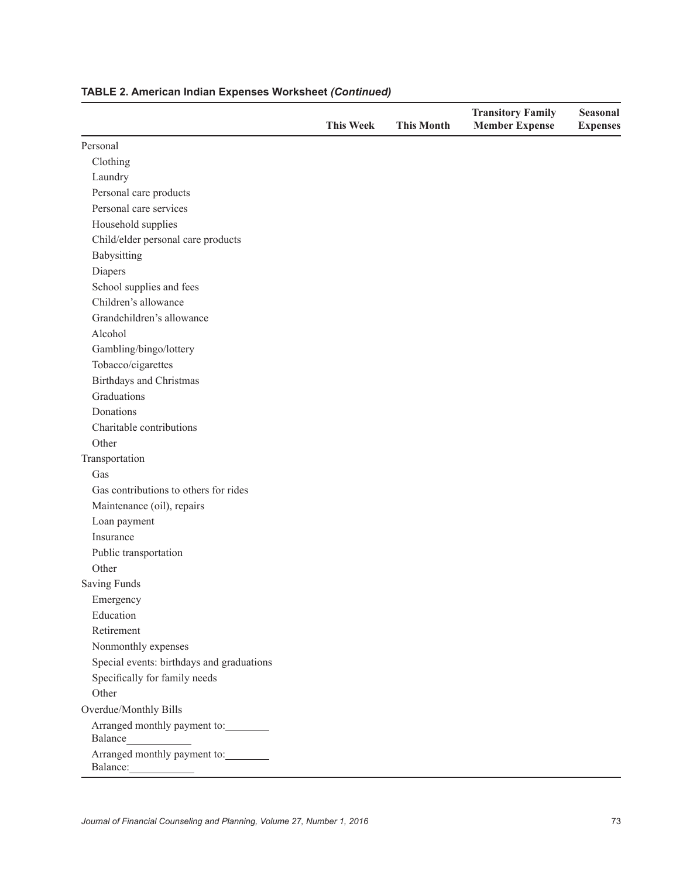|                                           | <b>This Week</b> | <b>This Month</b> | <b>Transitory Family</b><br><b>Member Expense</b> | <b>Seasonal</b><br><b>Expenses</b> |
|-------------------------------------------|------------------|-------------------|---------------------------------------------------|------------------------------------|
| Personal                                  |                  |                   |                                                   |                                    |
| Clothing                                  |                  |                   |                                                   |                                    |
| Laundry                                   |                  |                   |                                                   |                                    |
| Personal care products                    |                  |                   |                                                   |                                    |
| Personal care services                    |                  |                   |                                                   |                                    |
| Household supplies                        |                  |                   |                                                   |                                    |
| Child/elder personal care products        |                  |                   |                                                   |                                    |
| Babysitting                               |                  |                   |                                                   |                                    |
| Diapers                                   |                  |                   |                                                   |                                    |
| School supplies and fees                  |                  |                   |                                                   |                                    |
| Children's allowance                      |                  |                   |                                                   |                                    |
| Grandchildren's allowance                 |                  |                   |                                                   |                                    |
| Alcohol                                   |                  |                   |                                                   |                                    |
| Gambling/bingo/lottery                    |                  |                   |                                                   |                                    |
| Tobacco/cigarettes                        |                  |                   |                                                   |                                    |
| Birthdays and Christmas                   |                  |                   |                                                   |                                    |
| Graduations                               |                  |                   |                                                   |                                    |
| Donations                                 |                  |                   |                                                   |                                    |
| Charitable contributions                  |                  |                   |                                                   |                                    |
| Other                                     |                  |                   |                                                   |                                    |
| Transportation                            |                  |                   |                                                   |                                    |
| Gas                                       |                  |                   |                                                   |                                    |
| Gas contributions to others for rides     |                  |                   |                                                   |                                    |
| Maintenance (oil), repairs                |                  |                   |                                                   |                                    |
| Loan payment                              |                  |                   |                                                   |                                    |
| Insurance                                 |                  |                   |                                                   |                                    |
| Public transportation                     |                  |                   |                                                   |                                    |
| Other                                     |                  |                   |                                                   |                                    |
| <b>Saving Funds</b>                       |                  |                   |                                                   |                                    |
| Emergency                                 |                  |                   |                                                   |                                    |
| Education                                 |                  |                   |                                                   |                                    |
| Retirement                                |                  |                   |                                                   |                                    |
| Nonmonthly expenses                       |                  |                   |                                                   |                                    |
| Special events: birthdays and graduations |                  |                   |                                                   |                                    |
| Specifically for family needs             |                  |                   |                                                   |                                    |
| Other                                     |                  |                   |                                                   |                                    |
| Overdue/Monthly Bills                     |                  |                   |                                                   |                                    |
| Arranged monthly payment to:              |                  |                   |                                                   |                                    |
| Arranged monthly payment to:<br>Balance:  |                  |                   |                                                   |                                    |

# **TABLE 2. American Indian Expenses Worksheet** *(Continued)*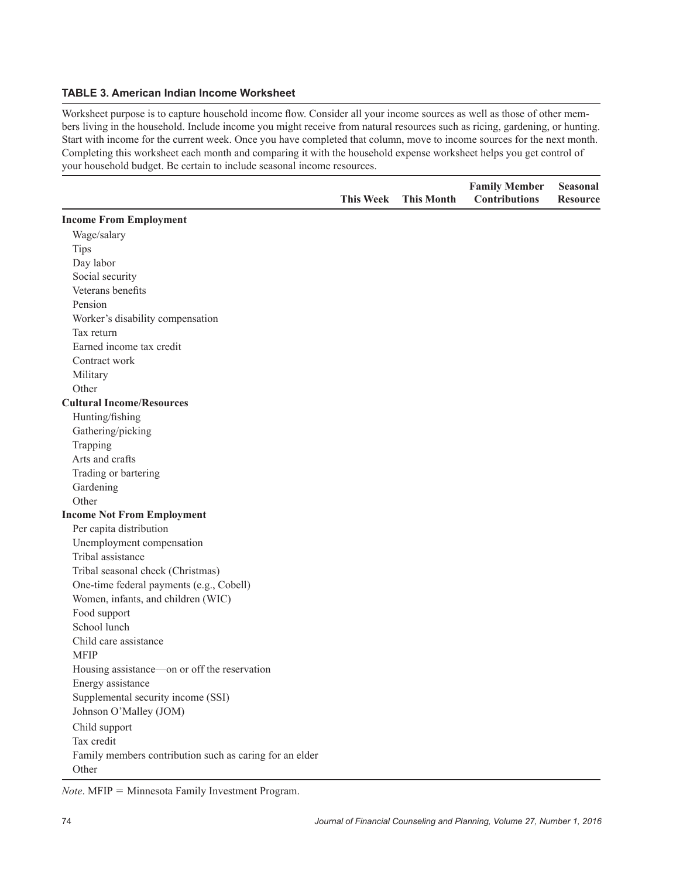# **TABLE 3. American Indian Income Worksheet**

Worksheet purpose is to capture household income flow. Consider all your income sources as well as those of other members living in the household. Include income you might receive from natural resources such as ricing, gardening, or hunting. Start with income for the current week. Once you have completed that column, move to income sources for the next month. Completing this worksheet each month and comparing it with the household expense worksheet helps you get control of your household budget. Be certain to include seasonal income resources.

|                                                         | <b>This Week</b> | <b>This Month</b> | <b>Family Member</b><br><b>Contributions</b> | <b>Seasonal</b><br><b>Resource</b> |
|---------------------------------------------------------|------------------|-------------------|----------------------------------------------|------------------------------------|
| <b>Income From Employment</b>                           |                  |                   |                                              |                                    |
| Wage/salary                                             |                  |                   |                                              |                                    |
| <b>Tips</b>                                             |                  |                   |                                              |                                    |
| Day labor                                               |                  |                   |                                              |                                    |
| Social security                                         |                  |                   |                                              |                                    |
| Veterans benefits                                       |                  |                   |                                              |                                    |
| Pension                                                 |                  |                   |                                              |                                    |
| Worker's disability compensation                        |                  |                   |                                              |                                    |
| Tax return                                              |                  |                   |                                              |                                    |
| Earned income tax credit                                |                  |                   |                                              |                                    |
| Contract work                                           |                  |                   |                                              |                                    |
| Military                                                |                  |                   |                                              |                                    |
| Other                                                   |                  |                   |                                              |                                    |
| <b>Cultural Income/Resources</b>                        |                  |                   |                                              |                                    |
| Hunting/fishing                                         |                  |                   |                                              |                                    |
| Gathering/picking                                       |                  |                   |                                              |                                    |
| Trapping                                                |                  |                   |                                              |                                    |
| Arts and crafts                                         |                  |                   |                                              |                                    |
| Trading or bartering                                    |                  |                   |                                              |                                    |
| Gardening                                               |                  |                   |                                              |                                    |
| Other                                                   |                  |                   |                                              |                                    |
| <b>Income Not From Employment</b>                       |                  |                   |                                              |                                    |
| Per capita distribution                                 |                  |                   |                                              |                                    |
| Unemployment compensation                               |                  |                   |                                              |                                    |
| Tribal assistance                                       |                  |                   |                                              |                                    |
| Tribal seasonal check (Christmas)                       |                  |                   |                                              |                                    |
| One-time federal payments (e.g., Cobell)                |                  |                   |                                              |                                    |
| Women, infants, and children (WIC)                      |                  |                   |                                              |                                    |
| Food support                                            |                  |                   |                                              |                                    |
| School lunch                                            |                  |                   |                                              |                                    |
| Child care assistance                                   |                  |                   |                                              |                                    |
| <b>MFIP</b>                                             |                  |                   |                                              |                                    |
| Housing assistance—on or off the reservation            |                  |                   |                                              |                                    |
| Energy assistance                                       |                  |                   |                                              |                                    |
| Supplemental security income (SSI)                      |                  |                   |                                              |                                    |
| Johnson O'Malley (JOM)                                  |                  |                   |                                              |                                    |
| Child support                                           |                  |                   |                                              |                                    |
| Tax credit                                              |                  |                   |                                              |                                    |
| Family members contribution such as caring for an elder |                  |                   |                                              |                                    |
| Other                                                   |                  |                   |                                              |                                    |

*Note*. MFIP = Minnesota Family Investment Program.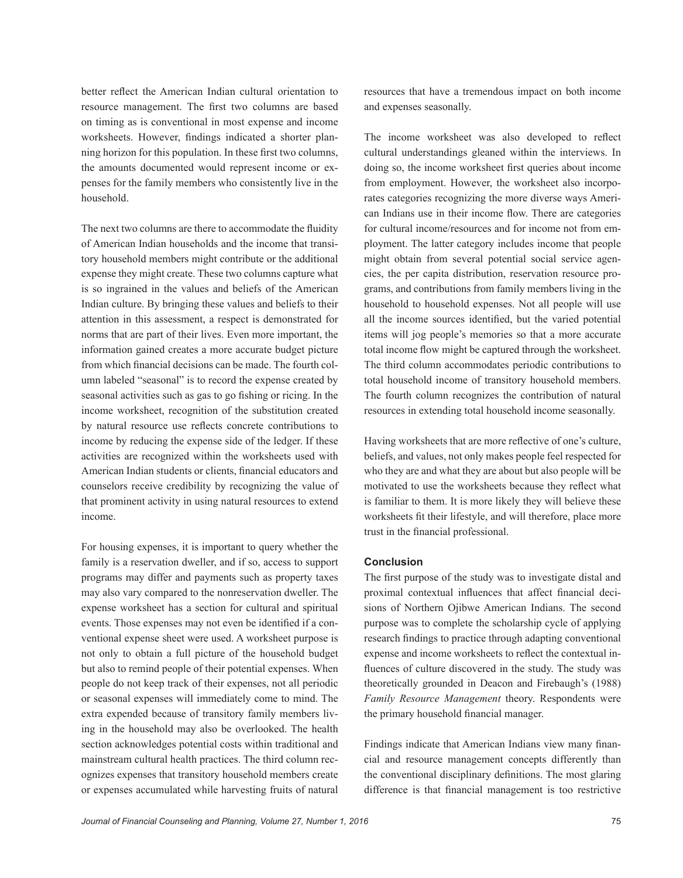better reflect the American Indian cultural orientation to resource management. The first two columns are based on timing as is conventional in most expense and income worksheets. However, findings indicated a shorter planning horizon for this population. In these first two columns, the amounts documented would represent income or expenses for the family members who consistently live in the household.

The next two columns are there to accommodate the fluidity of American Indian households and the income that transitory household members might contribute or the additional expense they might create. These two columns capture what is so ingrained in the values and beliefs of the American Indian culture. By bringing these values and beliefs to their attention in this assessment, a respect is demonstrated for norms that are part of their lives. Even more important, the information gained creates a more accurate budget picture from which financial decisions can be made. The fourth column labeled "seasonal" is to record the expense created by seasonal activities such as gas to go fishing or ricing. In the income worksheet, recognition of the substitution created by natural resource use reflects concrete contributions to income by reducing the expense side of the ledger. If these activities are recognized within the worksheets used with American Indian students or clients, financial educators and counselors receive credibility by recognizing the value of that prominent activity in using natural resources to extend income.

For housing expenses, it is important to query whether the family is a reservation dweller, and if so, access to support programs may differ and payments such as property taxes may also vary compared to the nonreservation dweller. The expense worksheet has a section for cultural and spiritual events. Those expenses may not even be identified if a conventional expense sheet were used. A worksheet purpose is not only to obtain a full picture of the household budget but also to remind people of their potential expenses. When people do not keep track of their expenses, not all periodic or seasonal expenses will immediately come to mind. The extra expended because of transitory family members living in the household may also be overlooked. The health section acknowledges potential costs within traditional and mainstream cultural health practices. The third column recognizes expenses that transitory household members create or expenses accumulated while harvesting fruits of natural resources that have a tremendous impact on both income and expenses seasonally.

The income worksheet was also developed to reflect cultural understandings gleaned within the interviews. In doing so, the income worksheet first queries about income from employment. However, the worksheet also incorporates categories recognizing the more diverse ways American Indians use in their income flow. There are categories for cultural income/resources and for income not from employment. The latter category includes income that people might obtain from several potential social service agencies, the per capita distribution, reservation resource programs, and contributions from family members living in the household to household expenses. Not all people will use all the income sources identified, but the varied potential items will jog people's memories so that a more accurate total income flow might be captured through the worksheet. The third column accommodates periodic contributions to total household income of transitory household members. The fourth column recognizes the contribution of natural resources in extending total household income seasonally.

Having worksheets that are more reflective of one's culture, beliefs, and values, not only makes people feel respected for who they are and what they are about but also people will be motivated to use the worksheets because they reflect what is familiar to them. It is more likely they will believe these worksheets fit their lifestyle, and will therefore, place more trust in the financial professional.

#### **Conclusion**

The first purpose of the study was to investigate distal and proximal contextual influences that affect financial decisions of Northern Ojibwe American Indians. The second purpose was to complete the scholarship cycle of applying research findings to practice through adapting conventional expense and income worksheets to reflect the contextual influences of culture discovered in the study. The study was theoretically grounded in Deacon and Firebaugh's (1988) *Family Resource Management* theory. Respondents were the primary household financial manager.

Findings indicate that American Indians view many financial and resource management concepts differently than the conventional disciplinary definitions. The most glaring difference is that financial management is too restrictive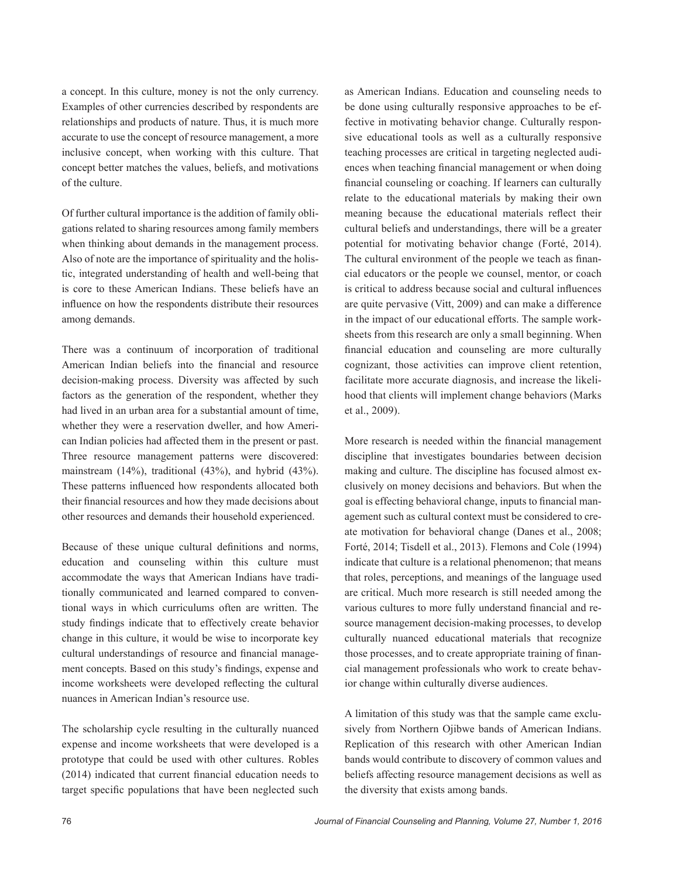a concept. In this culture, money is not the only currency. Examples of other currencies described by respondents are relationships and products of nature. Thus, it is much more accurate to use the concept of resource management, a more inclusive concept, when working with this culture. That concept better matches the values, beliefs, and motivations of the culture.

Of further cultural importance is the addition of family obligations related to sharing resources among family members when thinking about demands in the management process. Also of note are the importance of spirituality and the holistic, integrated understanding of health and well-being that is core to these American Indians. These beliefs have an influence on how the respondents distribute their resources among demands.

There was a continuum of incorporation of traditional American Indian beliefs into the financial and resource decision-making process. Diversity was affected by such factors as the generation of the respondent, whether they had lived in an urban area for a substantial amount of time, whether they were a reservation dweller, and how American Indian policies had affected them in the present or past. Three resource management patterns were discovered: mainstream (14%), traditional (43%), and hybrid (43%). These patterns influenced how respondents allocated both their financial resources and how they made decisions about other resources and demands their household experienced.

Because of these unique cultural definitions and norms, education and counseling within this culture must accommodate the ways that American Indians have traditionally communicated and learned compared to conventional ways in which curriculums often are written. The study findings indicate that to effectively create behavior change in this culture, it would be wise to incorporate key cultural understandings of resource and financial management concepts. Based on this study's findings, expense and income worksheets were developed reflecting the cultural nuances in American Indian's resource use.

The scholarship cycle resulting in the culturally nuanced expense and income worksheets that were developed is a prototype that could be used with other cultures. Robles (2014) indicated that current financial education needs to target specific populations that have been neglected such

as American Indians. Education and counseling needs to be done using culturally responsive approaches to be effective in motivating behavior change. Culturally responsive educational tools as well as a culturally responsive teaching processes are critical in targeting neglected audiences when teaching financial management or when doing financial counseling or coaching. If learners can culturally relate to the educational materials by making their own meaning because the educational materials reflect their cultural beliefs and understandings, there will be a greater potential for motivating behavior change (Forté, 2014). The cultural environment of the people we teach as financial educators or the people we counsel, mentor, or coach is critical to address because social and cultural influences are quite pervasive (Vitt, 2009) and can make a difference in the impact of our educational efforts. The sample worksheets from this research are only a small beginning. When financial education and counseling are more culturally cognizant, those activities can improve client retention, facilitate more accurate diagnosis, and increase the likelihood that clients will implement change behaviors (Marks et al., 2009).

More research is needed within the financial management discipline that investigates boundaries between decision making and culture. The discipline has focused almost exclusively on money decisions and behaviors. But when the goal is effecting behavioral change, inputs to financial management such as cultural context must be considered to create motivation for behavioral change (Danes et al., 2008; Forté, 2014; Tisdell et al., 2013). Flemons and Cole (1994) indicate that culture is a relational phenomenon; that means that roles, perceptions, and meanings of the language used are critical. Much more research is still needed among the various cultures to more fully understand financial and resource management decision-making processes, to develop culturally nuanced educational materials that recognize those processes, and to create appropriate training of financial management professionals who work to create behavior change within culturally diverse audiences.

A limitation of this study was that the sample came exclusively from Northern Ojibwe bands of American Indians. Replication of this research with other American Indian bands would contribute to discovery of common values and beliefs affecting resource management decisions as well as the diversity that exists among bands.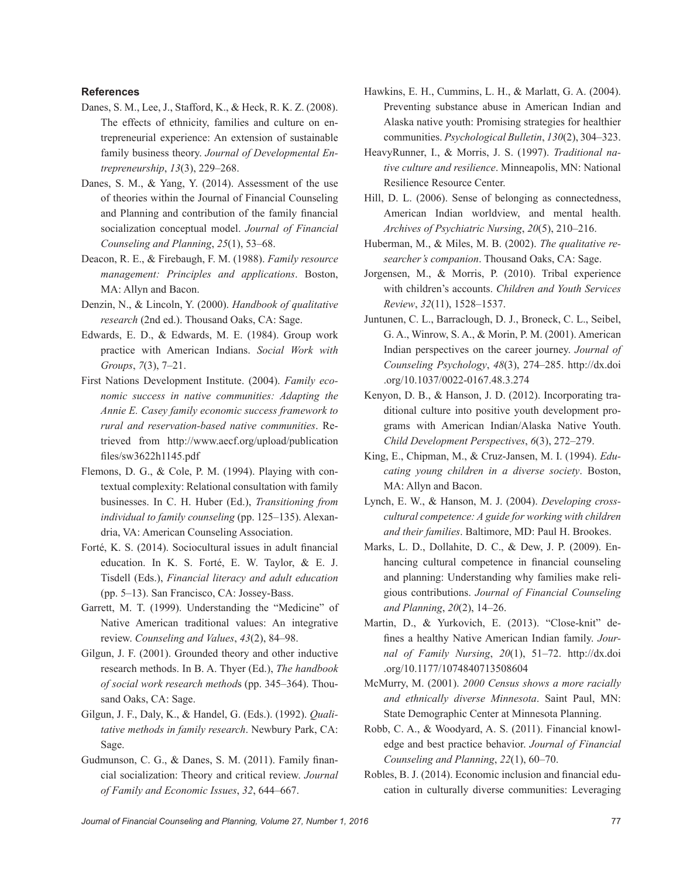#### **References**

- Danes, S. M., Lee, J., Stafford, K., & Heck, R. K. Z. (2008). The effects of ethnicity, families and culture on entrepreneurial experience: An extension of sustainable family business theory. *Journal of Developmental Entrepreneurship*, *13*(3), 229–268.
- Danes, S. M., & Yang, Y. (2014). Assessment of the use of theories within the Journal of Financial Counseling and Planning and contribution of the family financial socialization conceptual model. *Journal of Financial Counseling and Planning*, *25*(1), 53–68.
- Deacon, R. E., & Firebaugh, F. M. (1988). *Family resource management: Principles and applications*. Boston, MA: Allyn and Bacon.
- Denzin, N., & Lincoln, Y. (2000). *Handbook of qualitative research* (2nd ed.). Thousand Oaks, CA: Sage.
- Edwards, E. D., & Edwards, M. E. (1984). Group work practice with American Indians. *Social Work with Groups*, *7*(3), 7–21.
- First Nations Development Institute. (2004). *Family economic success in native communities: Adapting the Annie E. Casey family economic success framework to rural and reservation-based native communities*. Retrieved from [http://www.aecf.org/upload/publication](http://www.aecf.org/upload/publicationfiles/sw3622h1145.pdf) [files/sw3622h1145.pdf](http://www.aecf.org/upload/publicationfiles/sw3622h1145.pdf)
- Flemons, D. G., & Cole, P. M. (1994). Playing with contextual complexity: Relational consultation with family businesses. In C. H. Huber (Ed.), *Transitioning from individual to family counseling* (pp. 125–135). Alexandria, VA: American Counseling Association.
- Forté, K. S. (2014). Sociocultural issues in adult financial education. In K. S. Forté, E. W. Taylor, & E. J. Tisdell (Eds.), *Financial literacy and adult education* (pp. 5–13). San Francisco, CA: Jossey-Bass.
- Garrett, M. T. (1999). Understanding the "Medicine" of Native American traditional values: An integrative review. *Counseling and Values*, *43*(2), 84–98.
- Gilgun, J. F. (2001). Grounded theory and other inductive research methods. In B. A. Thyer (Ed.), *The handbook of social work research method*s (pp. 345–364). Thousand Oaks, CA: Sage.
- Gilgun, J. F., Daly, K., & Handel, G. (Eds.). (1992). *Qualitative methods in family research*. Newbury Park, CA: Sage.
- Gudmunson, C. G., & Danes, S. M. (2011). Family financial socialization: Theory and critical review. *Journal of Family and Economic Issues*, *32*, 644–667.
- Hawkins, E. H., Cummins, L. H., & Marlatt, G. A. (2004). Preventing substance abuse in American Indian and Alaska native youth: Promising strategies for healthier communities. *Psychological Bulletin*, *130*(2), 304–323.
- HeavyRunner, I., & Morris, J. S. (1997). *Traditional native culture and resilience*. Minneapolis, MN: National Resilience Resource Center.
- Hill, D. L. (2006). Sense of belonging as connectedness, American Indian worldview, and mental health. *Archives of Psychiatric Nursing*, *20*(5), 210–216.
- Huberman, M., & Miles, M. B. (2002). *The qualitative researcher's companion*. Thousand Oaks, CA: Sage.
- Jorgensen, M., & Morris, P. (2010). Tribal experience with children's accounts. *Children and Youth Services Review*, *32*(11), 1528–1537.
- Juntunen, C. L., Barraclough, D. J., Broneck, C. L., Seibel, G. A., Winrow, S. A., & Morin, P. M. (2001). American Indian perspectives on the career journey. *Journal of Counseling Psychology*, *48*(3), 274–285. [http://dx.doi](http://dx.doi.org/10.1037/0022-0167.48.3.274) [.org/10.1037/0022-0167.48.3.274](http://dx.doi.org/10.1037/0022-0167.48.3.274)
- Kenyon, D. B., & Hanson, J. D. (2012). Incorporating traditional culture into positive youth development programs with American Indian/Alaska Native Youth. *Child Development Perspectives*, *6*(3), 272–279.
- King, E., Chipman, M., & Cruz-Jansen, M. I. (1994). *Educating young children in a diverse society*. Boston, MA: Allyn and Bacon.
- Lynch, E. W., & Hanson, M. J. (2004). *Developing crosscultural competence: A guide for working with children and their families*. Baltimore, MD: Paul H. Brookes.
- Marks, L. D., Dollahite, D. C., & Dew, J. P. (2009). Enhancing cultural competence in financial counseling and planning: Understanding why families make religious contributions. *Journal of Financial Counseling and Planning*, *20*(2), 14–26.
- Martin, D., & Yurkovich, E. (2013). "Close-knit" defines a healthy Native American Indian family. *Journal of Family Nursing*, *20*(1), 51–72. [http://dx.doi](http://dx.doi.org/10.1177/1074840713508604) [.org/10.1177/1074840713508604](http://dx.doi.org/10.1177/1074840713508604)
- McMurry, M. (2001). *2000 Census shows a more racially and ethnically diverse Minnesota*. Saint Paul, MN: State Demographic Center at Minnesota Planning.
- Robb, C. A., & Woodyard, A. S. (2011). Financial knowledge and best practice behavior. *Journal of Financial Counseling and Planning*, *22*(1), 60–70.
- Robles, B. J. (2014). Economic inclusion and financial education in culturally diverse communities: Leveraging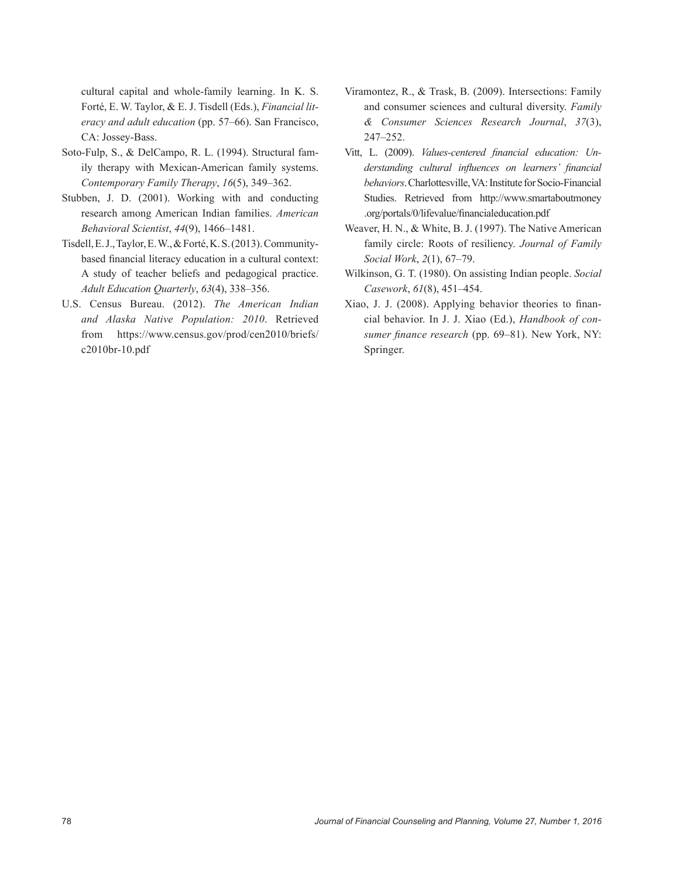cultural capital and whole-family learning. In K. S. Forté, E. W. Taylor, & E. J. Tisdell (Eds.), *Financial literacy and adult education* (pp. 57–66). San Francisco, CA: Jossey-Bass.

- Soto-Fulp, S., & DelCampo, R. L. (1994). Structural family therapy with Mexican-American family systems. *Contemporary Family Therapy*, *16*(5), 349–362.
- Stubben, J. D. (2001). Working with and conducting research among American Indian families. *American Behavioral Scientist*, *44*(9), 1466–1481.
- Tisdell, E. J., Taylor, E. W., & Forté, K. S. (2013). Communitybased financial literacy education in a cultural context: A study of teacher beliefs and pedagogical practice. *Adult Education Quarterly*, *63*(4), 338–356.
- U.S. Census Bureau. (2012). *The American Indian and Alaska Native Population: 2010*. Retrieved from [https://www.census.gov/prod/cen2010/briefs/](https://www.census.gov/prod/cen2010/briefs/c2010br-10.pdf) [c2010br-10.pdf](https://www.census.gov/prod/cen2010/briefs/c2010br-10.pdf)
- Viramontez, R., & Trask, B. (2009). Intersections: Family and consumer sciences and cultural diversity. *Family & Consumer Sciences Research Journal*, *37*(3), 247–252.
- Vitt, L. (2009). *Values-centered financial education: Understanding cultural influences on learners' financial behaviors*. Charlottesville, VA: Institute for Socio-Financial Studies. Retrieved from [http://www.smartaboutmoney](http://www.smartaboutmoney.org/portals/0/lifevalue/financialeducation.pdf) [.org/portals/0/lifevalue/financialeducation.pdf](http://www.smartaboutmoney.org/portals/0/lifevalue/financialeducation.pdf)
- Weaver, H. N., & White, B. J. (1997). The Native American family circle: Roots of resiliency. *Journal of Family Social Work*, *2*(1), 67–79.
- Wilkinson, G. T. (1980). On assisting Indian people. *Social Casework*, *61*(8), 451–454.
- Xiao, J. J. (2008). Applying behavior theories to financial behavior. In J. J. Xiao (Ed.), *Handbook of consumer finance research* (pp. 69–81). New York, NY: Springer.